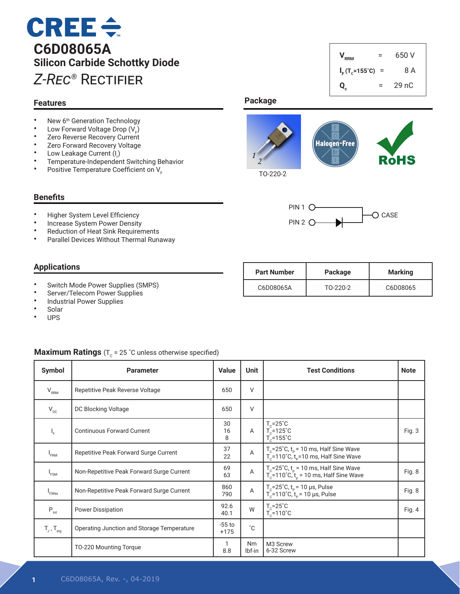# $CREE \div$ **C6D08065A Silicon Carbide Schottky Diode** *Z-Rec®* Rectifier

#### **Features**

- New  $6<sup>th</sup>$  Generation Technology<br>• Low Ferward Veltage Drep (V)
- Low Forward Voltage Drop  $(V_F)$
- Zero Reverse Recovery Current
- Zero Forward Recovery Voltage
- Low Leakage Current  $(I_r)$
- Temperature-Independent Switching Behavior<br>• Bositive Temperature Coefficient on V
- Positive Temperature Coefficient on V<sub>F</sub>

#### **Benefits**

- Higher System Level Efficiency<br>• Increase System Power Depait
- Increase System Power Density<br>• Poduction of Heat Sink Poquirer
- Reduction of Heat Sink Requirements
- Parallel Devices Without Thermal Runaway

#### **Applications**

- Switch Mode Power Supplies (SMPS)
- Server/Telecom Power Supplies
- Industrial Power Supplies<br>• Solar
- Solar
- UPS

#### **Maximum Ratings** ( $T_c$  = 25 °C unless otherwise specified)

| <b>Symbol</b>              | <b>Parameter</b>                           | <b>Value</b>       | <b>Unit</b>    | <b>Test Conditions</b>                                                                                      | <b>Note</b> |
|----------------------------|--------------------------------------------|--------------------|----------------|-------------------------------------------------------------------------------------------------------------|-------------|
| $V_{RRM}$                  | Repetitive Peak Reverse Voltage            | 650                | $\vee$         |                                                                                                             |             |
| $V_{\text{DC}}$            | DC Blocking Voltage                        | 650                | $\vee$         |                                                                                                             |             |
| I <sub>F</sub>             | <b>Continuous Forward Current</b>          | 30<br>16<br>8      | $\overline{A}$ | $T_c = 25^\circ C$<br>$T_c$ =125°C<br>$T_c = 155^{\circ}$ C                                                 | Fig. 3      |
| I <sub>FRM</sub>           | Repetitive Peak Forward Surge Current      | 37<br>22           | A              | $T_c$ =25°C, $t_p$ = 10 ms, Half Sine Wave<br>$T_c$ =110°C, $t_p$ =10 ms, Half Sine Wave                    |             |
| <sup>I</sup> FSM           | Non-Repetitive Peak Forward Surge Current  | 69<br>63           | $\mathsf A$    | $T_c = 25^\circ C$ , $t_p = 10$ ms, Half Sine Wave<br>$T_c = 110^\circ C$ , $t_p = 10$ ms, Half Sine Wave   | Fig. 8      |
| I <sub>F.Max</sub>         | Non-Repetitive Peak Forward Surge Current  | 860<br>790         | $\mathsf A$    | T <sub>c</sub> =25°C, t <sub>p</sub> = 10 µs, Pulse<br>T <sub>c</sub> =110°C, t <sub>p</sub> = 10 µs, Pulse | Fig. 8      |
| $P_{\rm tot}$              | <b>Power Dissipation</b>                   | 92.6<br>40.1       | W              | $T_c = 25^\circ C$<br>$T_c = 110^{\circ}$ C                                                                 | Fig. 4      |
| $T_{J}$ , $T_{\text{stq}}$ | Operating Junction and Storage Temperature | $-55$ to<br>$+175$ | $^{\circ}$ C   |                                                                                                             |             |
|                            | TO-220 Mounting Torque                     | 8.8                | Nm<br>Ibf-in   | M3 Screw<br>6-32 Screw                                                                                      |             |



**Qc**

 $V_{RRM}$  = 650 V

 $I_F(T_c=155^{\circ}C) = 8 A$ 

 $= 29 nC$ 

TO-220-2



| <b>Part Number</b> | Package  | Marking  |
|--------------------|----------|----------|
| C6D08065A          | TO-220-2 | C6D08065 |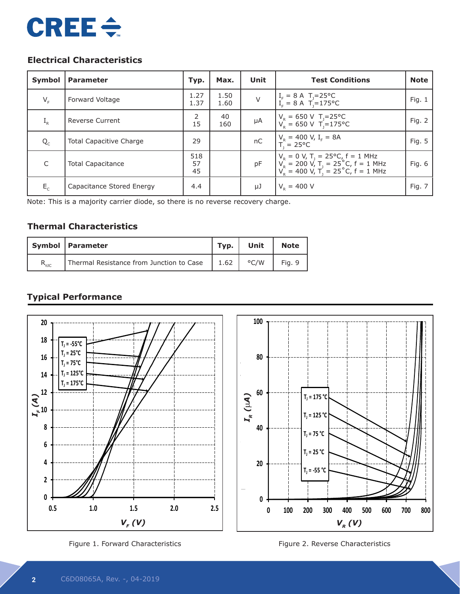# **CREE ÷**

# **Electrical Characteristics**

| Symbol       | <b>Parameter</b>          | Typ.            | Max.         | Unit    | <b>Test Conditions</b>                                                                                                                                 | <b>Note</b> |
|--------------|---------------------------|-----------------|--------------|---------|--------------------------------------------------------------------------------------------------------------------------------------------------------|-------------|
| $V_{F}$      | Forward Voltage           | 1.27<br>1.37    | 1.50<br>1.60 | $\vee$  | $I_F = 8 \text{ A } T_1 = 25^{\circ} \text{C}$<br>$I_E = 8 \text{ A } T_1 = 175^{\circ} \text{C}$                                                      | Fig. $1$    |
| $L_R$        | <b>Reverse Current</b>    | 2<br>15         | 40<br>160    | $\mu A$ | $V_R = 650 \text{ V}$ T <sub>J</sub> =25 °C<br>$V_R = 650 \text{ V}$ T <sub>J</sub> =175 °C                                                            | Fig. 2      |
| $Q_c$        | Total Capacitive Charge   | 29              |              | nC      | $V_R = 400 \text{ V}, I_F = 8 \text{A}$<br>$T_1 = 25 \text{°C}$                                                                                        | Fig. 5      |
| $\mathsf{C}$ | <b>Total Capacitance</b>  | 518<br>57<br>45 |              | pF      | $V_R = 0 V$ , T <sub>J</sub> = 25°C, f = 1 MHz<br>$V_R = 200 V$ , T <sub>J</sub> = 25°C, f = 1 MHz<br>$V_R = 400 V$ , T <sub>J</sub> = 25°C, f = 1 MHz | Fig. 6      |
| $E_c$        | Capacitance Stored Energy | 4.4             |              | μJ      | $V_{\rm p} = 400 \text{ V}$                                                                                                                            | Fig. 7      |

Note: This is a majority carrier diode, so there is no reverse recovery charge.

# **Thermal Characteristics**

|                | Symbol   Parameter                       | Typ. | Unit          | <b>Note</b> |
|----------------|------------------------------------------|------|---------------|-------------|
| $R_{\theta$ JC | Thermal Resistance from Junction to Case | 1.62 | $\degree$ C/W | Fig. 9      |

# **Typical Performance**





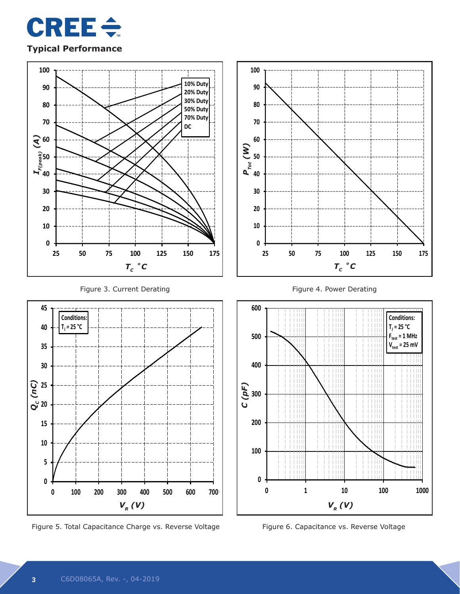

#### **Typical Performance**



Figure 5. Total Capacitance Charge vs. Reverse Voltage Figure 6. Capacitance vs. Reverse Voltage

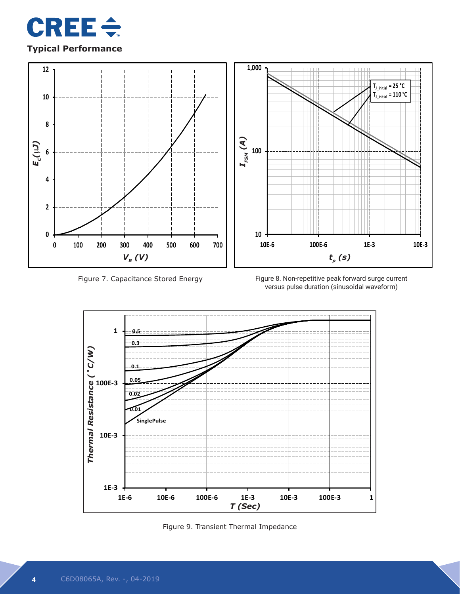

# **Typical Performance**



Figure 7. Capacitance Stored Energy

Figure 8. Non-repetitive peak forward surge current versus pulse duration (sinusoidal waveform)



Figure 9. Transient Thermal Impedance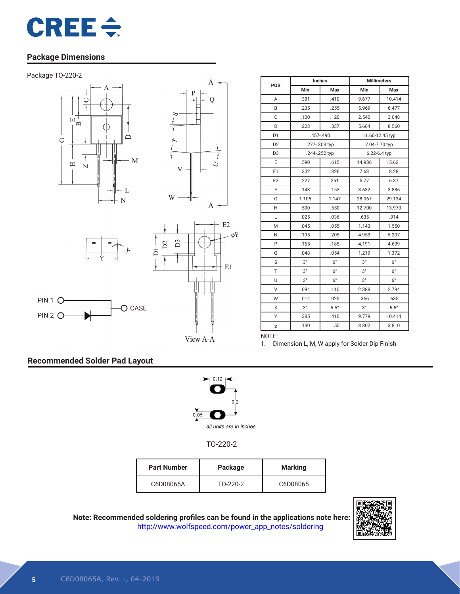

### **Package Dimensions**









O CASE



| POS            | Inches        |               | <b>Millimeters</b> |                 |  |
|----------------|---------------|---------------|--------------------|-----------------|--|
|                | Min           | Max           | Min                | Max             |  |
| Α              | .381          | .410          | 9.677              | 10.414          |  |
| B              | .235          | .255          | 5.969              | 6.477           |  |
| C              | .100          | .120          | 2.540              | 3.048           |  |
| D              | .223          | .337          | 5.664              | 8.560           |  |
| D <sub>1</sub> |               | $.457 - .490$ |                    | 11.60-12.45 typ |  |
| D <sub>2</sub> | .277-.303 typ |               |                    | 7.04-7.70 typ   |  |
| D <sub>3</sub> | .244-.252 typ |               |                    | 6.22-6.4 typ    |  |
| E              | .590          | .615          | 14.986             | 15.621          |  |
| E1             | .302          | .326          | 7.68               | 8.28            |  |
| E <sub>2</sub> | .227          | 251           | 5.77               | 6.37            |  |
| F              | .143          | .153          | 3.632              | 3.886           |  |
| G              | 1.105         | 1.147         | 28.067             | 29.134          |  |
| H              | .500          | .550          | 12.700             | 13.970          |  |
| L              | .025          | .036          | .635               | .914            |  |
| M              | .045          | .055          | 1.143              | 1.550           |  |
| N              | .195          | .205          | 4.953              | 5.207           |  |
| P              | .165          | .185          | 4.191              | 4.699           |  |
| Q              | .048          | .054          | 1.219              | 1.372           |  |
| S              | $3^{\circ}$   | $6^{\circ}$   | $3^{\circ}$        | $6^{\circ}$     |  |
| T              | $3^{\circ}$   | $6^{\circ}$   | $3^{\circ}$        | $6^{\circ}$     |  |
| U              | $3^{\circ}$   | $6^{\circ}$   | $3^{\circ}$        | $6^{\circ}$     |  |
| V              | .094          | .110          | 2.388              | 2.794           |  |
| W              | .014          | .025          | .356               | .635            |  |
| X              | $3^{\circ}$   | $5.5^\circ$   | $3^{\circ}$        | $5.5^\circ$     |  |
| Υ              | .385          | .410          | 9.779              | 10.414          |  |
| Z              | .130          | .150          | 3.302              | 3.810           |  |
| NOTE:          |               |               |                    |                 |  |

View A-A

1. Dimension L, M, W apply for Solder Dip Finish

# **Recommended Solder Pad Layout**

PIN 2 O-



TO-220-2

| <b>Part Number</b> | Package  | <b>Marking</b> |
|--------------------|----------|----------------|
| C6D08065A          | TO-220-2 | C6D08065       |



**Note: Recommended soldering profiles can be found in the applications note here:** http://www.wolfspeed.com/power\_app\_notes/soldering